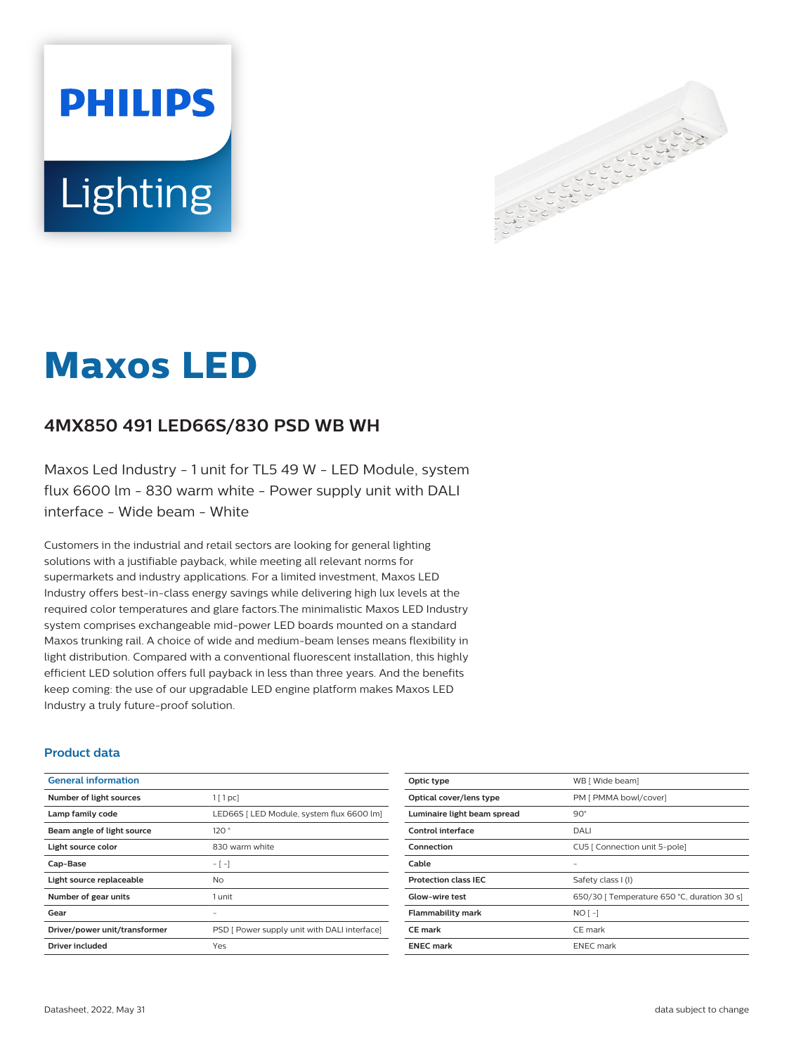# **PHILIPS** Lighting



# **Maxos LED**

# **4MX850 491 LED66S/830 PSD WB WH**

Maxos Led Industry - 1 unit for TL5 49 W - LED Module, system flux 6600 lm - 830 warm white - Power supply unit with DALI interface - Wide beam - White

Customers in the industrial and retail sectors are looking for general lighting solutions with a justifiable payback, while meeting all relevant norms for supermarkets and industry applications. For a limited investment, Maxos LED Industry offers best-in-class energy savings while delivering high lux levels at the required color temperatures and glare factors.The minimalistic Maxos LED Industry system comprises exchangeable mid-power LED boards mounted on a standard Maxos trunking rail. A choice of wide and medium-beam lenses means flexibility in light distribution. Compared with a conventional fluorescent installation, this highly efficient LED solution offers full payback in less than three years. And the benefits keep coming: the use of our upgradable LED engine platform makes Maxos LED Industry a truly future-proof solution.

#### **Product data**

| <b>General information</b>    |                                              |
|-------------------------------|----------------------------------------------|
| Number of light sources       | $1$ [ 1 pc]                                  |
| Lamp family code              | LED66S [ LED Module, system flux 6600 lm]    |
| Beam angle of light source    | 120°                                         |
| Light source color            | 830 warm white                               |
| Cap-Base                      | $-[-]$                                       |
| Light source replaceable      | No.                                          |
| Number of gear units          | 1 unit                                       |
| Gear                          |                                              |
| Driver/power unit/transformer | PSD [ Power supply unit with DALI interface] |
| Driver included               | Yes                                          |

| Optic type                  | WB [ Wide beam]                             |
|-----------------------------|---------------------------------------------|
| Optical cover/lens type     | PM [ PMMA bowl/cover]                       |
| Luminaire light beam spread | $90^\circ$                                  |
| Control interface           | DALI                                        |
| Connection                  | CU5   Connection unit 5-pole]               |
| Cable                       |                                             |
| <b>Protection class IEC</b> | Safety class I (I)                          |
| Glow-wire test              | 650/30   Temperature 650 °C, duration 30 s] |
| <b>Flammability mark</b>    | $NO[-]$                                     |
| <b>CE</b> mark              | CE mark                                     |
| <b>ENEC mark</b>            | <b>ENEC</b> mark                            |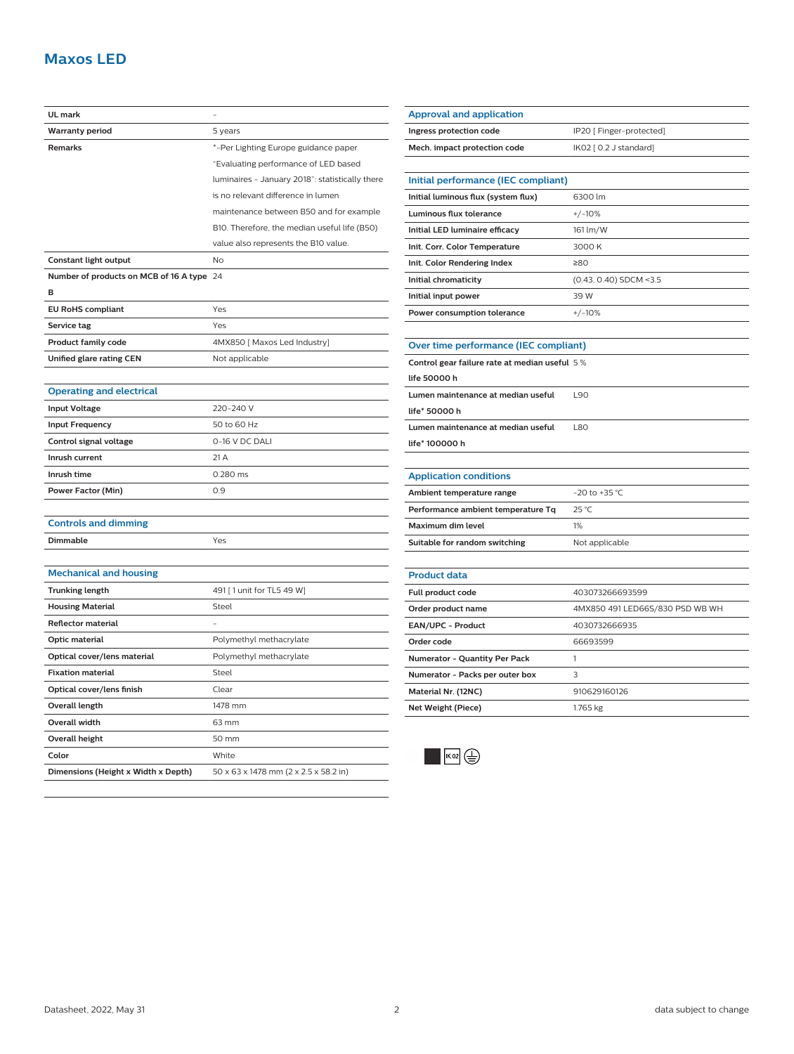## **Maxos LED**

| UL mark                                   |                                                 |
|-------------------------------------------|-------------------------------------------------|
| <b>Warranty period</b>                    | 5 years                                         |
| Remarks                                   | *-Per Lighting Europe guidance paper            |
|                                           | "Evaluating performance of LED based            |
|                                           | luminaires - January 2018": statistically there |
|                                           | is no relevant difference in lumen              |
|                                           | maintenance between B50 and for example         |
|                                           | B10. Therefore, the median useful life (B50)    |
|                                           | value also represents the B10 value.            |
| Constant light output                     | No                                              |
| Number of products on MCB of 16 A type 24 |                                                 |
| B                                         |                                                 |
| <b>EU RoHS compliant</b>                  | Yes                                             |
| Service tag                               | Yes                                             |
| <b>Product family code</b>                | 4MX850 [ Maxos Led Industry]                    |
| <b>Unified glare rating CEN</b>           | Not applicable                                  |
|                                           |                                                 |
| <b>Operating and electrical</b>           |                                                 |
| <b>Input Voltage</b>                      | 220-240 V                                       |
| <b>Input Frequency</b>                    | 50 to 60 Hz                                     |
| Control signal voltage                    | 0-16 V DC DALI                                  |
| Inrush current                            | 21 A                                            |
| Inrush time                               | 0.280 ms                                        |
| <b>Power Factor (Min)</b>                 | 0.9                                             |
|                                           |                                                 |
| <b>Controls and dimming</b>               |                                                 |
| Dimmable                                  | Yes                                             |
|                                           |                                                 |
| <b>Mechanical and housing</b>             |                                                 |
| <b>Trunking length</b>                    | 491 [1 unit for TL5 49 W]                       |
| <b>Housing Material</b>                   | Steel                                           |
| <b>Reflector material</b>                 |                                                 |
| Optic material                            | Polymethyl methacrylate                         |
| Optical cover/lens material               | Polymethyl methacrylate                         |
| <b>Fixation material</b>                  | Steel                                           |
| Optical cover/lens finish                 | Clear                                           |
| Overall length                            | 1478 mm                                         |
| Overall width                             | 63 mm                                           |
| <b>Overall height</b>                     | 50 mm                                           |
| Color                                     | White                                           |
| Dimensions (Height x Width x Depth)       | 50 x 63 x 1478 mm (2 x 2.5 x 58.2 in)           |

| IP20 [ Finger-protected]                      |  |
|-----------------------------------------------|--|
| IK02 [ 0.2 J standard]                        |  |
|                                               |  |
| Initial performance (IEC compliant)           |  |
| 6300 lm                                       |  |
| $+/-10%$                                      |  |
| 161 lm/W                                      |  |
| 3000 K                                        |  |
| ≥80                                           |  |
| (0.43, 0.40) SDCM <3.5                        |  |
| 39 W                                          |  |
| $+/-10%$                                      |  |
|                                               |  |
| Over time performance (IEC compliant)         |  |
| Control gear failure rate at median useful 5% |  |
|                                               |  |
| L90                                           |  |
|                                               |  |
| L80                                           |  |
|                                               |  |
|                                               |  |
|                                               |  |
| $-20$ to $+35$ °C                             |  |
| 25 °C                                         |  |
|                                               |  |
| 1%                                            |  |
| Not applicable                                |  |
|                                               |  |
|                                               |  |
| 403073266693599                               |  |
| 4MX850 491 LED66S/830 PSD WB WH               |  |
| 4030732666935                                 |  |
| 66693599                                      |  |
| 1                                             |  |
| 3                                             |  |
| 910629160126                                  |  |
|                                               |  |